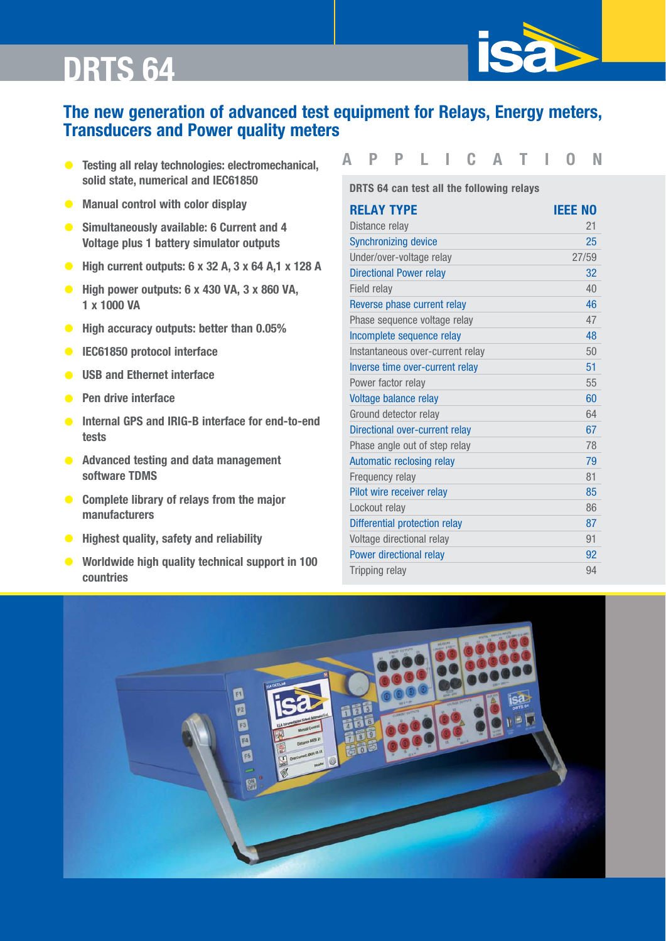

- **APPLICATION solid state, numerical and IEC61850**
- **Manual control with color display**
- **Simultaneously available: 6 Current and 4 Voltage plus 1 battery simulator outputs**
- **High current outputs: 6 x 32 A, 3 x 64 A,1 x 128 A**
- **High power outputs: 6 x 430 VA, 3 x 860 VA, 1 x 1000 VA**
- **High accuracy outputs: better than 0.05%**
- **IEC61850 protocol interface**
- **USB and Ethernet interface**
- **Pen drive interface**
- **Internal GPS and IRIG-B interface for end-to-end tests**
- **Advanced testing and data management software TDMS**
- **Complete library of relays from the major manufacturers**
- **Highest quality, safety and reliability**
- **Worldwide high quality technical support in 100 countries**

**SCHNEIDER MESSTECHNIK** 

**DRTS 64 can test all the following relays**

| <b>RELAY TYPE</b>                | <b>IEEE NO</b> |
|----------------------------------|----------------|
| Distance relay                   | 21             |
| <b>Synchronizing device</b>      | 25             |
| Under/over-voltage relay         | 27/59          |
| <b>Directional Power relay</b>   | 32             |
| Field relay                      | 40             |
| Reverse phase current relay      | 46             |
| Phase sequence voltage relay     | 47             |
| Incomplete sequence relay        | 48             |
| Instantaneous over-current relay | 50             |
| Inverse time over-current relay  | 51             |
| Power factor relay               | 55             |
| Voltage balance relay            | 60             |
| Ground detector relay            | 64             |
| Directional over-current relay   | 67             |
| Phase angle out of step relay    | 78             |
| <b>Automatic reclosing relay</b> | 79             |
| Frequency relay                  | 81             |
| Pilot wire receiver relay        | 85             |
| Lockout relay                    | 86             |
| Differential protection relay    | 87             |
| Voltage directional relay        | 91             |
| Power directional relay          | 92             |
| <b>Tripping relay</b>            | 94             |



Tel.: 03303 / 504066 Fax: 03303 / 504068 info@ics-schneider.de www.ics-schneider.de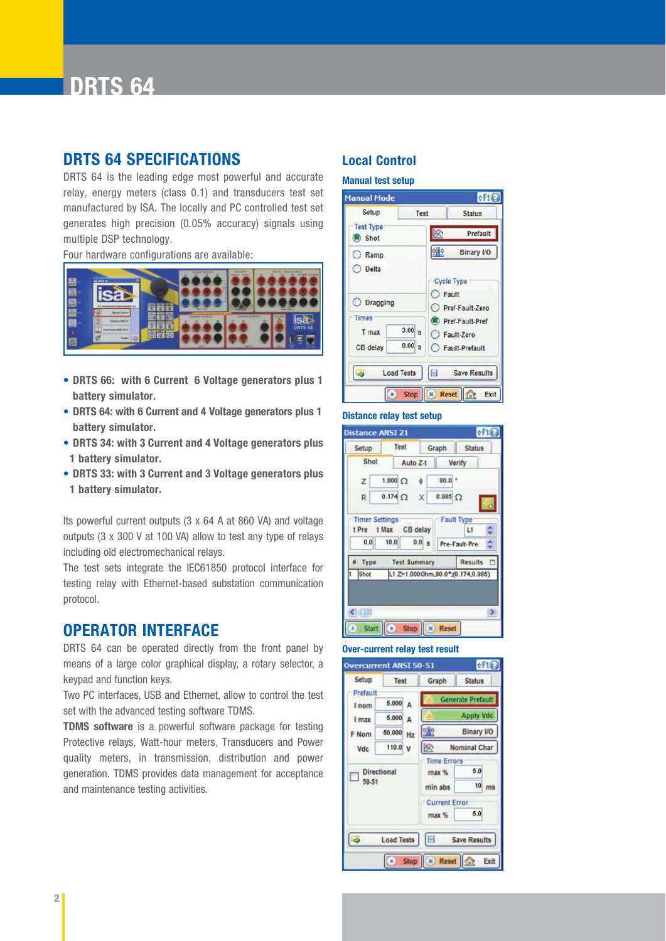

### **DRTS 64 SPECIFICATIONS Local Control**

DRTS 64 is the leading edge most powerful and accurate relay, energy meters (class 0.1) and transducers test set manufactured by ISA. The locally and PC controlled test set generates high precision (0.05% accuracy) signals using multiple DSP technology.

Four hardware configurations are available:



- **DRTS 66: with 6 Current 6 Voltage generators plus 1 battery simulator.**
- **DRTS 64: with 6 Current and 4 Voltage generators plus 1 battery simulator.**
- **DRTS 34: with 3 Current and 4 Voltage generators plus 1 battery simulator.**
- **DRTS 33: with 3 Current and 3 Voltage generators plus 1 battery simulator.**

Its powerful current outputs (3 x 64 A at 860 VA) and voltage outputs (3 x 300 V at 100 VA) allow to test any type of relays including old electromechanical relays.

The test sets integrate the IEC61850 protocol interface for testing relay with Ethernet-based substation communication protocol.

#### **OPERATOR INTERFACE**

DRTS 64 can be operated directly from the front panel by means of a large color graphical display, a rotary selector, a keypad and function keys.

Two PC interfaces, USB and Ethernet, allow to control the test set with the advanced testing software TDMS.

**TDMS software** is a powerful software package for testing Protective relays, Watt-hour meters, Transducers and Power quality meters, in transmission, distribution and power generation. TDMS provides data management for acceptance and maintenance testing activities.

#### **Manual test setup**



#### **Distance relay test setup**



#### **Over-current relay test result**



ICS Schneider Messtechnik GmbH Briesestraße 59 D-16562 Hohen Neuendorf / OT Bergfelde

Tel.: 03303 / 504066 Fax: 03303 / 504068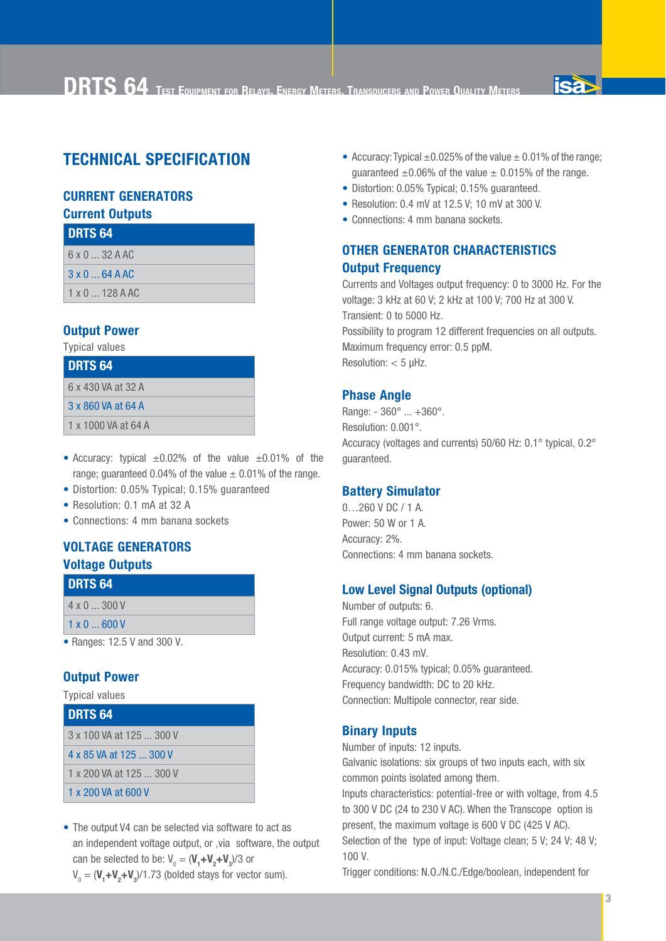

### **TECHNICAL SPECIFICATION**

### **CURRENT GENERATORS**

**Current Outputs**

| <b>DRTS 64</b>                |  |
|-------------------------------|--|
| $6 \times 0$ $\ldots$ 32 A AC |  |
| $3 \times 0$ $\ldots$ 64 A AC |  |
| $1 \times 0$ $\dots$ 128 A AC |  |

#### **Output Power**

Typical values

| <b>DRTS 64</b>      |  |
|---------------------|--|
| 6 x 430 VA at 32 A  |  |
| 3 x 860 VA at 64 A  |  |
| 1 x 1000 VA at 64 A |  |

- Accuracy: typical  $\pm 0.02\%$  of the value  $\pm 0.01\%$  of the range; quaranteed 0.04% of the value  $\pm$  0.01% of the range.
- Distortion: 0.05% Typical; 0.15% guaranteed
- Resolution: 0.1 mA at 32 A
- Connections: 4 mm banana sockets

### **VOLTAGE GENERATORS**

#### **Voltage Outputs DRTS 64**

| I DRIƏ 04          |  |
|--------------------|--|
| $4 \times 0$ 300 V |  |

1 x 0 ... 600 V

• Ranges: 12.5 V and 300 V.

#### **Output Power**

Typical values

| <b>DRTS 64</b>           |  |
|--------------------------|--|
| 3 x 100 VA at 125  300 V |  |
| 4 x 85 VA at 125  300 V  |  |
| 1 x 200 VA at 125  300 V |  |
| 1 x 200 VA at 600 V      |  |

• The output V4 can be selected via software to act as an independent voltage output, or ,via software, the output can be selected to be:  $V_0 = (V_1 + V_2 + V_3)/3$  or

```
V_0 = (V_1 + V_2 + V_3)/1.73 (bolded stays for vector sum).
```
- Accuracy: Typical  $\pm 0.025\%$  of the value  $\pm 0.01\%$  of the range; guaranteed  $\pm 0.06\%$  of the value  $\pm 0.015\%$  of the range.
- Distortion: 0.05% Typical; 0.15% guaranteed.
- Resolution: 0.4 mV at 12.5 V; 10 mV at 300 V.
- Connections: 4 mm banana sockets.

#### **OTHER GENERATOR CHARACTERISTICS Output Frequency**

Currents and Voltages output frequency: 0 to 3000 Hz. For the voltage: 3 kHz at 60 V; 2 kHz at 100 V; 700 Hz at 300 V. Transient: 0 to 5000 Hz. Possibility to program 12 different frequencies on all outputs. Maximum frequency error: 0.5 ppM. Resolution: < 5 µHz.

#### **Phase Angle**

Range: - 360° ... +360°. Resolution: 0.001°. Accuracy (voltages and currents) 50/60 Hz: 0.1° typical, 0.2° guaranteed.

#### **Battery Simulator**

0…260 V DC / 1 A. Power: 50 W or 1 A. Accuracy: 2%. Connections: 4 mm banana sockets.

#### **Low Level Signal Outputs (optional)**

Number of outputs: 6. Full range voltage output: 7.26 Vrms. Output current: 5 mA max. Resolution: 0.43 mV. Accuracy: 0.015% typical; 0.05% guaranteed. Frequency bandwidth: DC to 20 kHz. Connection: Multipole connector, rear side.

#### **Binary Inputs**

Number of inputs: 12 inputs. Galvanic isolations: six groups of two inputs each, with six common points isolated among them. Inputs characteristics: potential-free or with voltage, from 4.5 to 300 V DC (24 to 230 V AC). When the Transcope option is present, the maximum voltage is 600 V DC (425 V AC). Selection of the type of input: Voltage clean; 5 V; 24 V; 48 V; 100 V.

Trigger conditions: N.O./N.C./Edge/boolean, independent for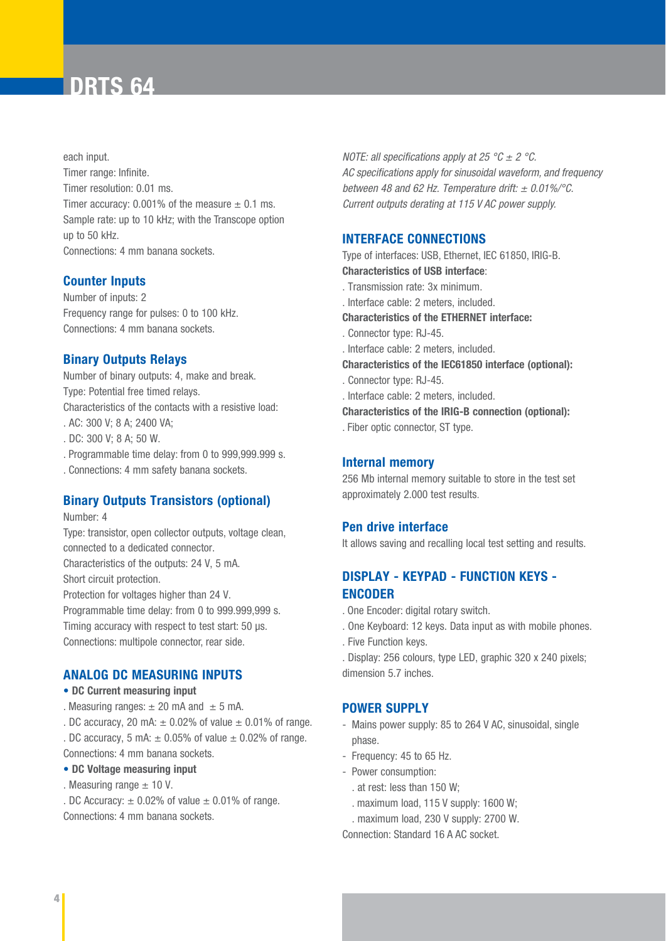each input. Timer range: Infinite. Timer resolution: 0.01 ms. Timer accuracy: 0.001% of the measure  $\pm$  0.1 ms. Sample rate: up to 10 kHz; with the Transcope option up to 50 kHz. Connections: 4 mm banana sockets.

#### **Counter Inputs**

Number of inputs: 2 Frequency range for pulses: 0 to 100 kHz. Connections: 4 mm banana sockets.

#### **Binary Outputs Relays**

Number of binary outputs: 4, make and break. Type: Potential free timed relays. Characteristics of the contacts with a resistive load: . AC: 300 V; 8 A; 2400 VA;

- . DC: 300 V; 8 A; 50 W.
- . Programmable time delay: from 0 to 999,999.999 s.
- . Connections: 4 mm safety banana sockets.

#### **Binary Outputs Transistors (optional)**

Number: 4

Type: transistor, open collector outputs, voltage clean, connected to a dedicated connector. Characteristics of the outputs: 24 V, 5 mA. Short circuit protection. Protection for voltages higher than 24 V. Programmable time delay: from 0 to 999.999,999 s. Timing accuracy with respect to test start: 50 µs. Connections: multipole connector, rear side.

#### **ANALOG DC MEASURING INPUTS**

#### • **DC Current measuring input**

- . Measuring ranges:  $\pm$  20 mA and  $\pm$  5 mA.
- . DC accuracy, 20 mA:  $\pm$  0.02% of value  $\pm$  0.01% of range.
- . DC accuracy, 5 mA:  $\pm$  0.05% of value  $\pm$  0.02% of range. Connections: 4 mm banana sockets.

#### • **DC Voltage measuring input**

- . Measuring range  $\pm$  10 V.
- . DC Accuracy:  $\pm$  0.02% of value  $\pm$  0.01% of range.

Connections: 4 mm banana sockets.

*NOTE: all specifications apply at 25 °C*  $\pm$  *2 °C. AC specifications apply for sinusoidal waveform, and frequency between 48 and 62 Hz. Temperature drift: ± 0.01%/°C. Current outputs derating at 115 V AC power supply.*

#### **INTERFACE CONNECTIONS**

Type of interfaces: USB, Ethernet, IEC 61850, IRIG-B. **Characteristics of USB interface**:

- . Transmission rate: 3x minimum.
- . Interface cable: 2 meters, included.

**Characteristics of the ETHERNET interface:**

- . Connector type: RJ-45.
- . Interface cable: 2 meters, included.

**Characteristics of the IEC61850 interface (optional):**

- . Connector type: RJ-45.
- . Interface cable: 2 meters, included.
- **Characteristics of the IRIG-B connection (optional):**

. Fiber optic connector, ST type.

#### **Internal memory**

256 Mb internal memory suitable to store in the test set approximately 2.000 test results.

#### **Pen drive interface**

It allows saving and recalling local test setting and results.

#### **DISPLAY - KEYPAD - FUNCTION KEYS - ENCODER**

- . One Encoder: digital rotary switch.
- . One Keyboard: 12 keys. Data input as with mobile phones.
- . Five Function keys.

. Display: 256 colours, type LED, graphic 320 x 240 pixels; dimension 5.7 inches.

#### **POWER SUPPLY**

- Mains power supply: 85 to 264 V AC, sinusoidal, single phase.
- Frequency: 45 to 65 Hz.
- Power consumption:
	- . at rest: less than 150 W;
	- . maximum load, 115 V supply: 1600 W;
	- . maximum load, 230 V supply: 2700 W.

Connection: Standard 16 A AC socket.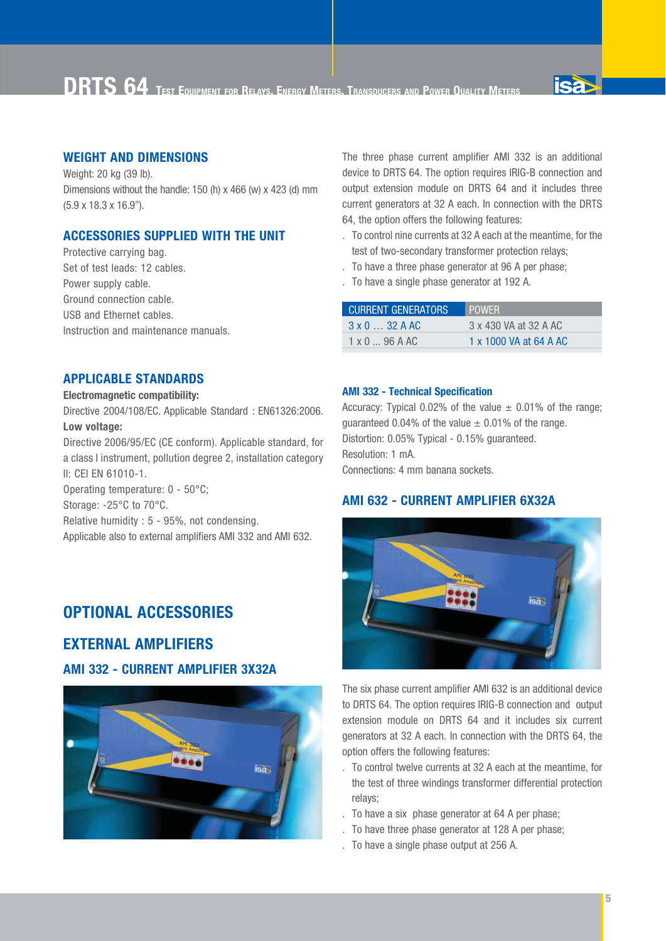

#### **WEIGHT AND DIMENSIONS**

Weight: 20 kg (39 lb). Dimensions without the handle: 150 (h) x 466 (w) x 423 (d) mm (5.9 x 18.3 x 16.9'').

#### **ACCESSORIES SUPPLIED WITH THE UNIT**

Protective carrying bag. Set of test leads: 12 cables. Power supply cable. Ground connection cable. USB and Ethernet cables. Instruction and maintenance manuals.

#### **APPLICABLE STANDARDS**

#### **Electromagnetic compatibility:**

Directive 2004/108/EC. Applicable Standard : EN61326:2006. **Low voltage:**

Directive 2006/95/EC (CE conform). Applicable standard, for a class I instrument, pollution degree 2, installation category II: CEI EN 61010-1.

Operating temperature: 0 - 50°C;

Storage: -25°C to 70°C.

Relative humidity : 5 - 95%, not condensing.

Applicable also to external amplifiers AMI 332 and AMI 632.

#### **OPTIONAL ACCESSORIES**

#### **EXTERNAL AMPLIFIERS**

#### **AMI 332 - CURRENT AMPLIFIER 3X32A**



The three phase current amplifier AMI 332 is an additional device to DRTS 64. The option requires IRIG-B connection and output extension module on DRTS 64 and it includes three current generators at 32 A each. In connection with the DRTS 64, the option offers the following features:

- . To control nine currents at 32 A each at the meantime, for the test of two-secondary transformer protection relays;
- . To have a three phase generator at 96 A per phase;
- . To have a single phase generator at 192 A.

| <b>CURRENT GENERATORS</b> | <b>POWER</b>           |
|---------------------------|------------------------|
| $3 \times 0$ 32 A AC      | 3 x 430 VA at 32 A AC  |
| $1 \times 0$ 96 A AC      | 1 x 1000 VA at 64 A AC |

#### **AMI 332 - Technical Specification**

Accuracy: Typical 0.02% of the value  $\pm$  0.01% of the range; quaranteed 0.04% of the value  $\pm$  0.01% of the range. Distortion: 0.05% Typical - 0.15% guaranteed. Resolution: 1 mA. Connections: 4 mm banana sockets.

#### **AMI 632 - CURRENT AMPLIFIER 6X32A**



The six phase current amplifier AMI 632 is an additional device to DRTS 64. The option requires IRIG-B connection and output extension module on DRTS 64 and it includes six current generators at 32 A each. In connection with the DRTS 64, the option offers the following features:

- . To control twelve currents at 32 A each at the meantime, for the test of three windings transformer differential protection relays;
- . To have a six phase generator at 64 A per phase;
- . To have three phase generator at 128 A per phase;
- . To have a single phase output at 256 A.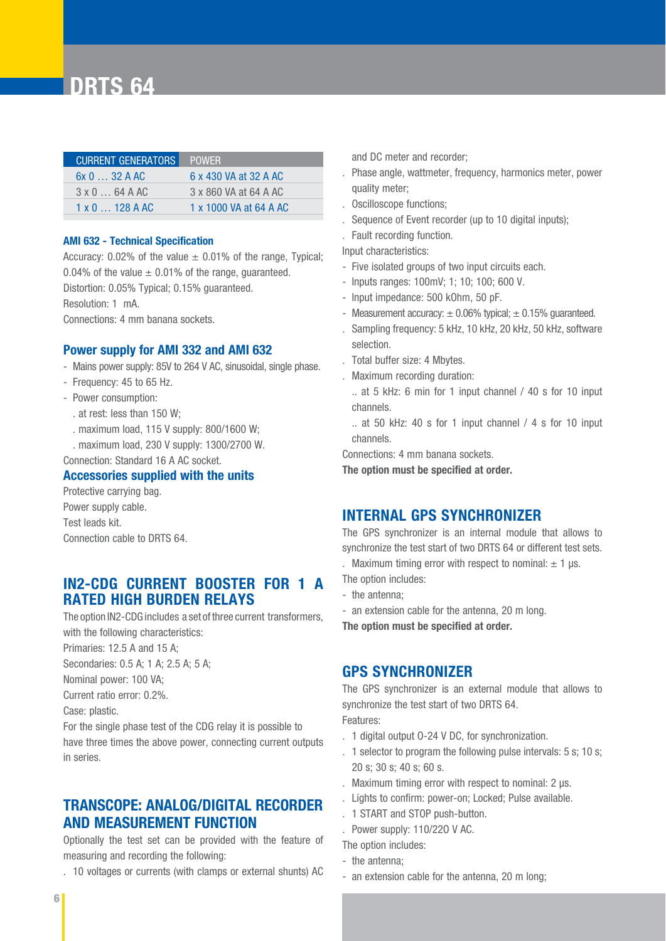| <b>CURRENT GENERATORS</b> | POWER.                 |
|---------------------------|------------------------|
| 6x032AAC                  | 6 x 430 VA at 32 A AC  |
| $3 \times 0$ 64 A AC      | 3 x 860 VA at 64 A AC  |
| $1 \times 0$ 128 A AC     | 1 x 1000 VA at 64 A AC |

#### **AMI 632 - Technical Specification**

Accuracy: 0.02% of the value  $\pm$  0.01% of the range, Typical; 0.04% of the value  $\pm$  0.01% of the range, quaranteed. Distortion: 0.05% Typical; 0.15% guaranteed. Resolution: 1 mA.

Connections: 4 mm banana sockets.

#### **Power supply for AMI 332 and AMI 632**

- Mains power supply: 85V to 264 V AC, sinusoidal, single phase.
- Frequency: 45 to 65 Hz.
- Power consumption:
	- . at rest: less than 150 W;
	- . maximum load, 115 V supply: 800/1600 W;
	- . maximum load, 230 V supply: 1300/2700 W.

Connection: Standard 16 A AC socket.

#### **Accessories supplied with the units**

Protective carrying bag. Power supply cable. Test leads kit. Connection cable to DRTS 64.

#### **IN2-CDG CURRENT BOOSTER FOR 1 A RATED HIGH BURDEN RELAYS**

The option IN2-CDG includes a set of three current transformers, with the following characteristics:

Primaries: 12.5 A and 15 A;

Secondaries: 0.5 A; 1 A; 2.5 A; 5 A;

Nominal power: 100 VA;

Current ratio error: 0.2%.

Case: plastic.

For the single phase test of the CDG relay it is possible to have three times the above power, connecting current outputs in series.

#### **TRANSCOPE: ANALOG/DIGITAL RECORDER AND MEASUREMENT FUNCTION**

Optionally the test set can be provided with the feature of measuring and recording the following:

. 10 voltages or currents (with clamps or external shunts) AC

and DC meter and recorder:

- . Phase angle, wattmeter, frequency, harmonics meter, power quality meter;
- . Oscilloscope functions;
- . Sequence of Event recorder (up to 10 digital inputs);
- . Fault recording function.
- Input characteristics:
- Five isolated groups of two input circuits each.
- Inputs ranges: 100mV; 1; 10; 100; 600 V.
- Input impedance: 500 kOhm, 50 pF.
- Measurement accuracy:  $\pm$  0.06% typical:  $\pm$  0.15% guaranteed.
- . Sampling frequency: 5 kHz, 10 kHz, 20 kHz, 50 kHz, software selection.
- . Total buffer size: 4 Mbytes.
- . Maximum recording duration:
- .. at 5 kHz: 6 min for 1 input channel / 40 s for 10 input channels.
- .. at 50 kHz: 40 s for 1 input channel / 4 s for 10 input channels.

Connections: 4 mm banana sockets.

**The option must be specified at order.**

#### **INTERNAL GPS SYNCHRONIZER**

The GPS synchronizer is an internal module that allows to synchronize the test start of two DRTS 64 or different test sets.

. Maximum timing error with respect to nominal:  $\pm$  1 µs. The option includes:

- the antenna;
- an extension cable for the antenna, 20 m long.

**The option must be specified at order.**

#### **GPS SYNCHRONIZER**

The GPS synchronizer is an external module that allows to synchronize the test start of two DRTS 64.

Features:

- . 1 digital output O-24 V DC, for synchronization.
- . 1 selector to program the following pulse intervals: 5 s; 10 s; 20 s; 30 s; 40 s; 60 s.
- . Maximum timing error with respect to nominal: 2 µs.
- . Lights to confirm: power-on; Locked; Pulse available.
- . 1 START and STOP push-button.
- . Power supply: 110/22O V AC.
- The option includes:
- the antenna;
- an extension cable for the antenna, 20 m long;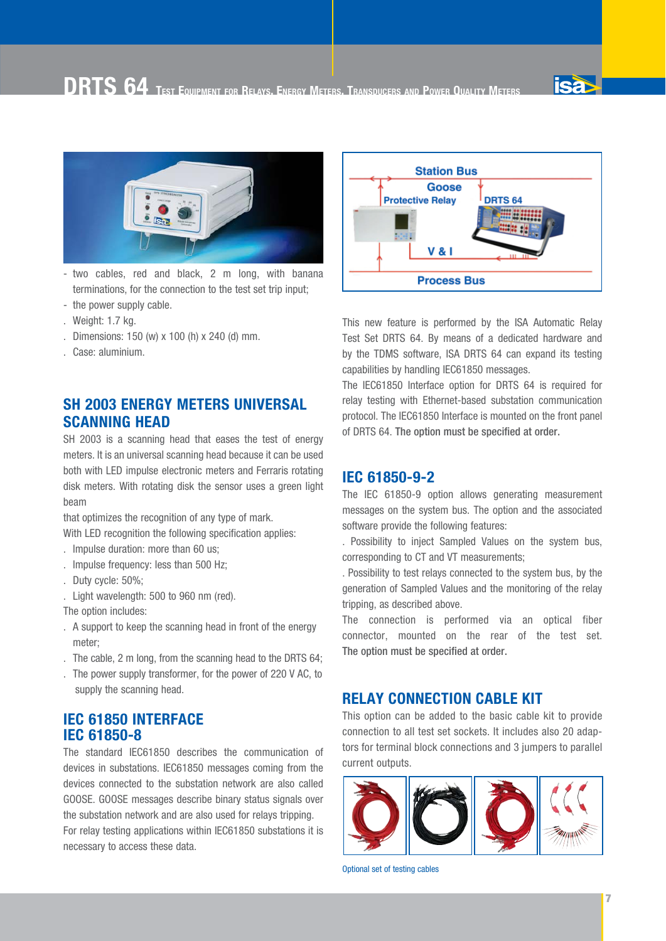**DRTS 64 TEST EQUIPMENT FOR RELAYS, ENERGY METERS, TRANSDUCERS AND POWER QUALITY METERS**



- two cables, red and black, 2 m long, with banana terminations, for the connection to the test set trip input;
- the power supply cable.
- . Weight: 1.7 kg.
- . Dimensions: 150 (w) x 100 (h) x 240 (d) mm.
- . Case: aluminium.

#### **SH 2003 ENERGY METERS UNIVERSAL SCANNING HEAD**

SH 2003 is a scanning head that eases the test of energy meters. lt is an universal scanning head because it can be used both with LED impulse electronic meters and Ferraris rotating disk meters. With rotating disk the sensor uses a green light beam

that optimizes the recognition of any type of mark.

With LED recognition the following specification applies:

- . lmpulse duration: more than 60 us;
- . lmpulse frequency: less than 500 Hz;
- . Duty cycle: 50%;
- . Light wavelength: 500 to 960 nm (red).

The option includes:

- . A support to keep the scanning head in front of the energy meter;
- . The cable, 2 m long, from the scanning head to the DRTS 64;
- . The power supply transformer, for the power of 220 V AC, to supply the scanning head.

#### **IEC 61850 INTERFACE IEC 61850-8**

necessary to access these data.

The standard IEC61850 describes the communication of devices in substations. IEC61850 messages coming from the devices connected to the substation network are also called GOOSE. GOOSE messages describe binary status signals over the substation network and are also used for relays tripping. For relay testing applications within IEC61850 substations it is



This new feature is performed by the ISA Automatic Relay Test Set DRTS 64. By means of a dedicated hardware and by the TDMS software, ISA DRTS 64 can expand its testing capabilities by handling IEC61850 messages.

The IEC61850 Interface option for DRTS 64 is required for relay testing with Ethernet-based substation communication protocol. The IEC61850 Interface is mounted on the front panel of DRTS 64. The option must be specified at order.

#### **IEC 61850-9-2**

The IEC 61850-9 option allows generating measurement messages on the system bus. The option and the associated software provide the following features:

. Possibility to inject Sampled Values on the system bus, corresponding to CT and VT measurements;

. Possibility to test relays connected to the system bus, by the generation of Sampled Values and the monitoring of the relay tripping, as described above.

The connection is performed via an optical fiber connector, mounted on the rear of the test set. The option must be specified at order.

#### **RELAY CONNECTION CABLE KIT**

This option can be added to the basic cable kit to provide connection to all test set sockets. It includes also 20 adaptors for terminal block connections and 3 jumpers to parallel current outputs.



Optional set of testing cables

**isa**